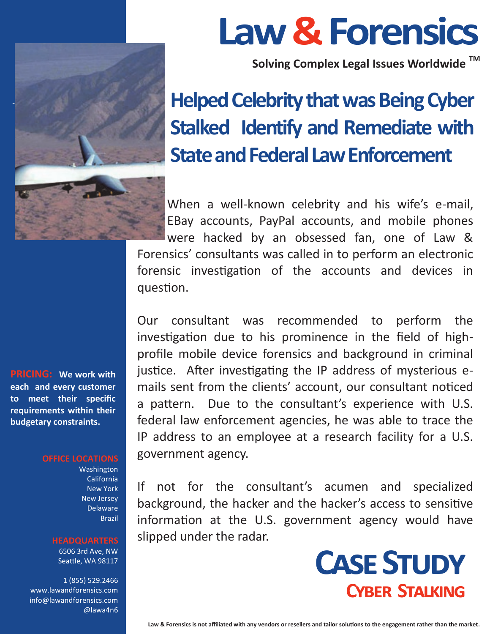

**Law & Forensics** 

**Solving Complex Legal Issues Worldwide TM**

## **Helped Celebrity that was Being Cyber Stalked Identify and Remediate with State and Federal Law Enforcement**

When a well-known celebrity and his wife's e-mail, EBay accounts, PayPal accounts, and mobile phones

were hacked by an obsessed fan, one of Law & Forensics' consultants was called in to perform an electronic forensic investigation of the accounts and devices in question.

Our consultant was recommended to perform the investigation due to his prominence in the field of highprofile mobile device forensics and background in criminal justice. After investigating the IP address of mysterious emails sent from the clients' account, our consultant noticed a pattern. Due to the consultant's experience with U.S. federal law enforcement agencies, he was able to trace the IP address to an employee at a research facility for a U.S. government agency.

If not for the consultant's acumen and specialized background, the hacker and the hacker's access to sensitive information at the U.S. government agency would have slipped under the radar.



**PRICING: We work with each and every customer to meet their specific requirements within their budgetary constraints.** 

#### **OFFICE LOCATIONS**

Washington California New York New Jersey **Delaware** Brazil

#### **HEADQUARTERS**

6506 3rd Ave, NW Seattle, WA 98117

1 (855) 529.2466 www.lawandforensics.com info@lawandforensics.com @lawa4n6